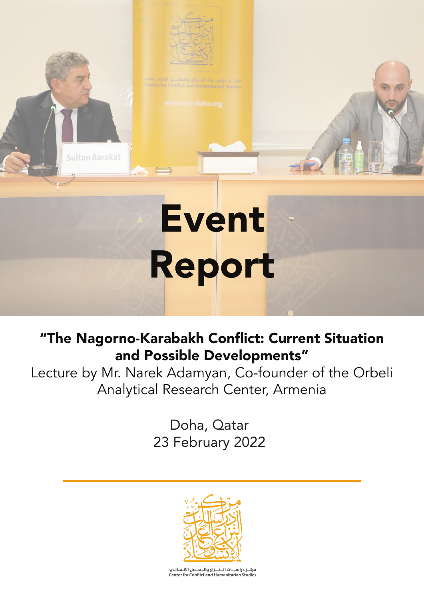

**Sultan Barakat** 

# Event Report

# "The Nagorno-Karabakh Conflict: Current Situation and Possible Developments"

Lecture by Mr. Narek Adamyan, Co-founder of the Orbeli Analytical Research Center, Armenia

> Doha, Qatar 23 February 2022

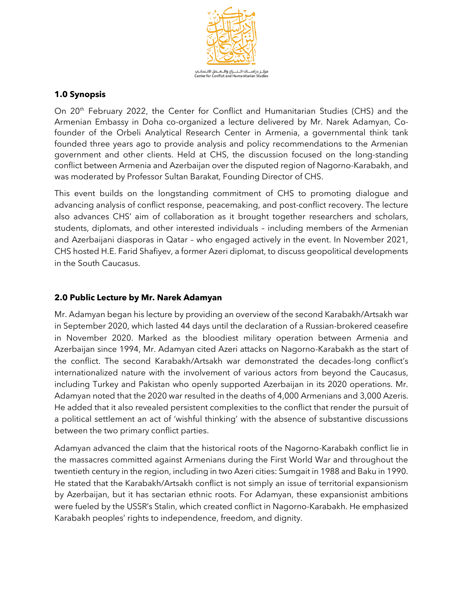

# **1.0 Synopsis**

On 20<sup>th</sup> February 2022, the Center for Conflict and Humanitarian Studies (CHS) and the Armenian Embassy in Doha co-organized a lecture delivered by Mr. Narek Adamyan, Cofounder of the Orbeli Analytical Research Center in Armenia, a governmental think tank founded three years ago to provide analysis and policy recommendations to the Armenian government and other clients. Held at CHS, the discussion focused on the long-standing conflict between Armenia and Azerbaijan over the disputed region of Nagorno-Karabakh, and was moderated by Professor Sultan Barakat, Founding Director of CHS.

This event builds on the longstanding commitment of CHS to promoting dialogue and advancing analysis of conflict response, peacemaking, and post-conflict recovery. The lecture also advances CHS' aim of collaboration as it brought together researchers and scholars, students, diplomats, and other interested individuals – including members of the Armenian and Azerbaijani diasporas in Qatar – who engaged actively in the event. In November 2021, CHS hosted H.E. Farid Shafiyev, a former Azeri diplomat, to discuss geopolitical developments in the South Caucasus.

# **2.0 Public Lecture by Mr. Narek Adamyan**

Mr. Adamyan began his lecture by providing an overview of the second Karabakh/Artsakh war in September 2020, which lasted 44 days until the declaration of a Russian-brokered ceasefire in November 2020. Marked as the bloodiest military operation between Armenia and Azerbaijan since 1994, Mr. Adamyan cited Azeri attacks on Nagorno-Karabakh as the start of the conflict. The second Karabakh/Artsakh war demonstrated the decades-long conflict's internationalized nature with the involvement of various actors from beyond the Caucasus, including Turkey and Pakistan who openly supported Azerbaijan in its 2020 operations. Mr. Adamyan noted that the 2020 war resulted in the deaths of 4,000 Armenians and 3,000 Azeris. He added that it also revealed persistent complexities to the conflict that render the pursuit of a political settlement an act of 'wishful thinking' with the absence of substantive discussions between the two primary conflict parties.

Adamyan advanced the claim that the historical roots of the Nagorno-Karabakh conflict lie in the massacres committed against Armenians during the First World War and throughout the twentieth century in the region, including in two Azeri cities: Sumgait in 1988 and Baku in 1990. He stated that the Karabakh/Artsakh conflict is not simply an issue of territorial expansionism by Azerbaijan, but it has sectarian ethnic roots. For Adamyan, these expansionist ambitions were fueled by the USSR's Stalin, which created conflict in Nagorno-Karabakh. He emphasized Karabakh peoples' rights to independence, freedom, and dignity.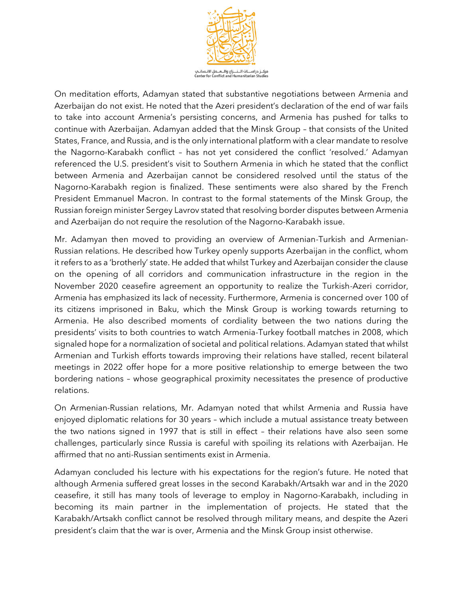

On meditation efforts, Adamyan stated that substantive negotiations between Armenia and Azerbaijan do not exist. He noted that the Azeri president's declaration of the end of war fails to take into account Armenia's persisting concerns, and Armenia has pushed for talks to continue with Azerbaijan. Adamyan added that the Minsk Group – that consists of the United States, France, and Russia, and is the only international platform with a clear mandate to resolve the Nagorno-Karabakh conflict – has not yet considered the conflict 'resolved.' Adamyan referenced the U.S. president's visit to Southern Armenia in which he stated that the conflict between Armenia and Azerbaijan cannot be considered resolved until the status of the Nagorno-Karabakh region is finalized. These sentiments were also shared by the French President Emmanuel Macron. In contrast to the formal statements of the Minsk Group, the Russian foreign minister Sergey Lavrov stated that resolving border disputes between Armenia and Azerbaijan do not require the resolution of the Nagorno-Karabakh issue.

Mr. Adamyan then moved to providing an overview of Armenian-Turkish and Armenian-Russian relations. He described how Turkey openly supports Azerbaijan in the conflict, whom it refers to as a 'brotherly' state. He added that whilst Turkey and Azerbaijan consider the clause on the opening of all corridors and communication infrastructure in the region in the November 2020 ceasefire agreement an opportunity to realize the Turkish-Azeri corridor, Armenia has emphasized its lack of necessity. Furthermore, Armenia is concerned over 100 of its citizens imprisoned in Baku, which the Minsk Group is working towards returning to Armenia. He also described moments of cordiality between the two nations during the presidents' visits to both countries to watch Armenia-Turkey football matches in 2008, which signaled hope for a normalization of societal and political relations. Adamyan stated that whilst Armenian and Turkish efforts towards improving their relations have stalled, recent bilateral meetings in 2022 offer hope for a more positive relationship to emerge between the two bordering nations – whose geographical proximity necessitates the presence of productive relations.

On Armenian-Russian relations, Mr. Adamyan noted that whilst Armenia and Russia have enjoyed diplomatic relations for 30 years – which include a mutual assistance treaty between the two nations signed in 1997 that is still in effect – their relations have also seen some challenges, particularly since Russia is careful with spoiling its relations with Azerbaijan. He affirmed that no anti-Russian sentiments exist in Armenia.

Adamyan concluded his lecture with his expectations for the region's future. He noted that although Armenia suffered great losses in the second Karabakh/Artsakh war and in the 2020 ceasefire, it still has many tools of leverage to employ in Nagorno-Karabakh, including in becoming its main partner in the implementation of projects. He stated that the Karabakh/Artsakh conflict cannot be resolved through military means, and despite the Azeri president's claim that the war is over, Armenia and the Minsk Group insist otherwise.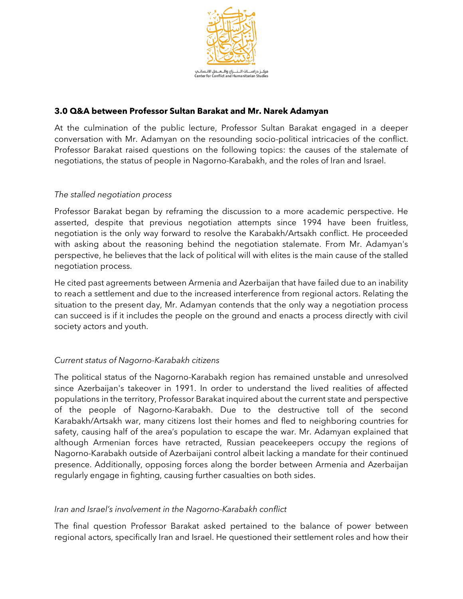

# **3.0 Q&A between Professor Sultan Barakat and Mr. Narek Adamyan**

At the culmination of the public lecture, Professor Sultan Barakat engaged in a deeper conversation with Mr. Adamyan on the resounding socio-political intricacies of the conflict. Professor Barakat raised questions on the following topics: the causes of the stalemate of negotiations, the status of people in Nagorno-Karabakh, and the roles of Iran and Israel.

### *The stalled negotiation process*

Professor Barakat began by reframing the discussion to a more academic perspective. He asserted, despite that previous negotiation attempts since 1994 have been fruitless, negotiation is the only way forward to resolve the Karabakh/Artsakh conflict. He proceeded with asking about the reasoning behind the negotiation stalemate. From Mr. Adamyan's perspective, he believes that the lack of political will with elites is the main cause of the stalled negotiation process.

He cited past agreements between Armenia and Azerbaijan that have failed due to an inability to reach a settlement and due to the increased interference from regional actors. Relating the situation to the present day, Mr. Adamyan contends that the only way a negotiation process can succeed is if it includes the people on the ground and enacts a process directly with civil society actors and youth.

# *Current status of Nagorno-Karabakh citizens*

The political status of the Nagorno-Karabakh region has remained unstable and unresolved since Azerbaijan's takeover in 1991. In order to understand the lived realities of affected populations in the territory, Professor Barakat inquired about the current state and perspective of the people of Nagorno-Karabakh. Due to the destructive toll of the second Karabakh/Artsakh war, many citizens lost their homes and fled to neighboring countries for safety, causing half of the area's population to escape the war. Mr. Adamyan explained that although Armenian forces have retracted, Russian peacekeepers occupy the regions of Nagorno-Karabakh outside of Azerbaijani control albeit lacking a mandate for their continued presence. Additionally, opposing forces along the border between Armenia and Azerbaijan regularly engage in fighting, causing further casualties on both sides.

#### *Iran and Israel's involvement in the Nagorno-Karabakh conflict*

The final question Professor Barakat asked pertained to the balance of power between regional actors, specifically Iran and Israel. He questioned their settlement roles and how their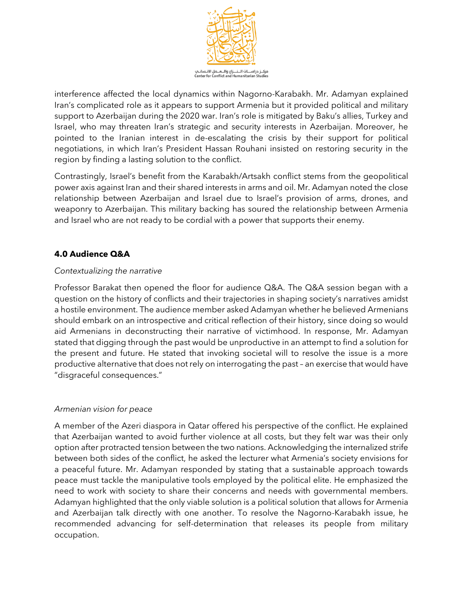

interference affected the local dynamics within Nagorno-Karabakh. Mr. Adamyan explained Iran's complicated role as it appears to support Armenia but it provided political and military support to Azerbaijan during the 2020 war. Iran's role is mitigated by Baku's allies, Turkey and Israel, who may threaten Iran's strategic and security interests in Azerbaijan. Moreover, he pointed to the Iranian interest in de-escalating the crisis by their support for political negotiations, in which Iran's President Hassan Rouhani insisted on restoring security in the region by finding a lasting solution to the conflict.

Contrastingly, Israel's benefit from the Karabakh/Artsakh conflict stems from the geopolitical power axis against Iran and their shared interests in arms and oil. Mr. Adamyan noted the close relationship between Azerbaijan and Israel due to Israel's provision of arms, drones, and weaponry to Azerbaijan. This military backing has soured the relationship between Armenia and Israel who are not ready to be cordial with a power that supports their enemy.

# **4.0 Audience Q&A**

### *Contextualizing the narrative*

Professor Barakat then opened the floor for audience Q&A. The Q&A session began with a question on the history of conflicts and their trajectories in shaping society's narratives amidst a hostile environment. The audience member asked Adamyan whether he believed Armenians should embark on an introspective and critical reflection of their history, since doing so would aid Armenians in deconstructing their narrative of victimhood. In response, Mr. Adamyan stated that digging through the past would be unproductive in an attempt to find a solution for the present and future. He stated that invoking societal will to resolve the issue is a more productive alternative that does not rely on interrogating the past – an exercise that would have "disgraceful consequences."

#### *Armenian vision for peace*

A member of the Azeri diaspora in Qatar offered his perspective of the conflict. He explained that Azerbaijan wanted to avoid further violence at all costs, but they felt war was their only option after protracted tension between the two nations. Acknowledging the internalized strife between both sides of the conflict, he asked the lecturer what Armenia's society envisions for a peaceful future. Mr. Adamyan responded by stating that a sustainable approach towards peace must tackle the manipulative tools employed by the political elite. He emphasized the need to work with society to share their concerns and needs with governmental members. Adamyan highlighted that the only viable solution is a political solution that allows for Armenia and Azerbaijan talk directly with one another. To resolve the Nagorno-Karabakh issue, he recommended advancing for self-determination that releases its people from military occupation.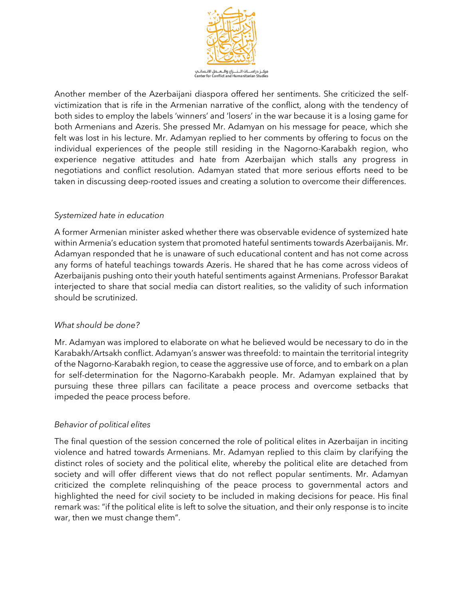

Another member of the Azerbaijani diaspora offered her sentiments. She criticized the selfvictimization that is rife in the Armenian narrative of the conflict, along with the tendency of both sides to employ the labels 'winners' and 'losers' in the war because it is a losing game for both Armenians and Azeris. She pressed Mr. Adamyan on his message for peace, which she felt was lost in his lecture. Mr. Adamyan replied to her comments by offering to focus on the individual experiences of the people still residing in the Nagorno-Karabakh region, who experience negative attitudes and hate from Azerbaijan which stalls any progress in negotiations and conflict resolution. Adamyan stated that more serious efforts need to be taken in discussing deep-rooted issues and creating a solution to overcome their differences.

# *Systemized hate in education*

A former Armenian minister asked whether there was observable evidence of systemized hate within Armenia's education system that promoted hateful sentiments towards Azerbaijanis. Mr. Adamyan responded that he is unaware of such educational content and has not come across any forms of hateful teachings towards Azeris. He shared that he has come across videos of Azerbaijanis pushing onto their youth hateful sentiments against Armenians. Professor Barakat interjected to share that social media can distort realities, so the validity of such information should be scrutinized.

# *What should be done?*

Mr. Adamyan was implored to elaborate on what he believed would be necessary to do in the Karabakh/Artsakh conflict. Adamyan's answer was threefold: to maintain the territorial integrity of the Nagorno-Karabakh region, to cease the aggressive use of force, and to embark on a plan for self-determination for the Nagorno-Karabakh people. Mr. Adamyan explained that by pursuing these three pillars can facilitate a peace process and overcome setbacks that impeded the peace process before.

# *Behavior of political elites*

The final question of the session concerned the role of political elites in Azerbaijan in inciting violence and hatred towards Armenians. Mr. Adamyan replied to this claim by clarifying the distinct roles of society and the political elite, whereby the political elite are detached from society and will offer different views that do not reflect popular sentiments. Mr. Adamyan criticized the complete relinquishing of the peace process to governmental actors and highlighted the need for civil society to be included in making decisions for peace. His final remark was: "if the political elite is left to solve the situation, and their only response is to incite war, then we must change them".